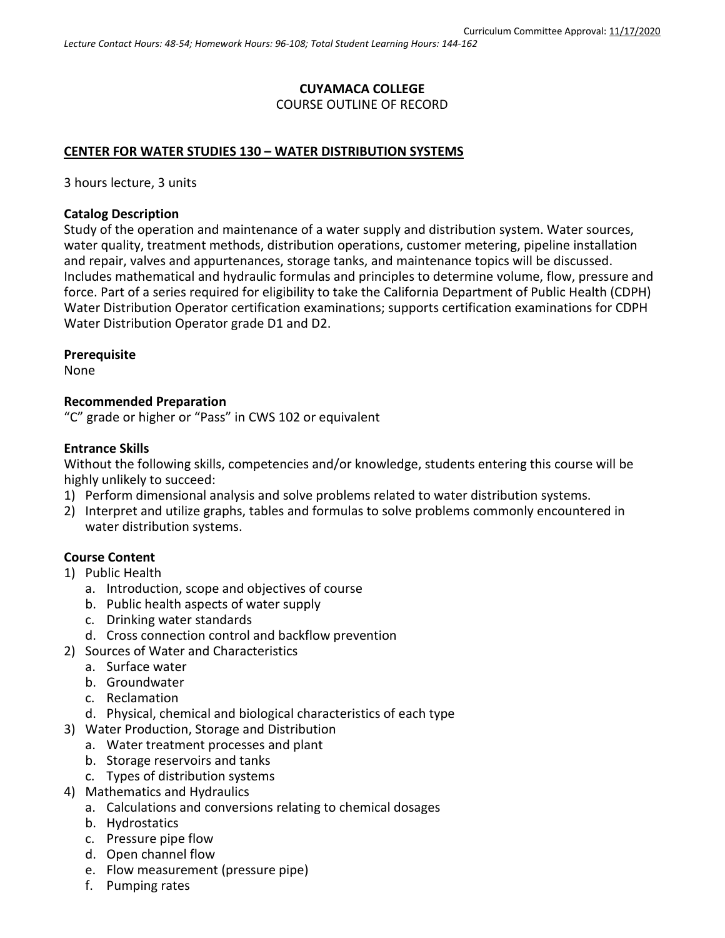### **CUYAMACA COLLEGE** COURSE OUTLINE OF RECORD

### **CENTER FOR WATER STUDIES 130 – WATER DISTRIBUTION SYSTEMS**

3 hours lecture, 3 units

### **Catalog Description**

Study of the operation and maintenance of a water supply and distribution system. Water sources, water quality, treatment methods, distribution operations, customer metering, pipeline installation and repair, valves and appurtenances, storage tanks, and maintenance topics will be discussed. Includes mathematical and hydraulic formulas and principles to determine volume, flow, pressure and force. Part of a series required for eligibility to take the California Department of Public Health (CDPH) Water Distribution Operator certification examinations; supports certification examinations for CDPH Water Distribution Operator grade D1 and D2.

### **Prerequisite**

None

### **Recommended Preparation**

"C" grade or higher or "Pass" in CWS 102 or equivalent

### **Entrance Skills**

Without the following skills, competencies and/or knowledge, students entering this course will be highly unlikely to succeed:

- 1) Perform dimensional analysis and solve problems related to water distribution systems.
- 2) Interpret and utilize graphs, tables and formulas to solve problems commonly encountered in water distribution systems.

## **Course Content**

- 1) Public Health
	- a. Introduction, scope and objectives of course
	- b. Public health aspects of water supply
	- c. Drinking water standards
	- d. Cross connection control and backflow prevention
- 2) Sources of Water and Characteristics
	- a. Surface water
	- b. Groundwater
	- c. Reclamation
	- d. Physical, chemical and biological characteristics of each type
- 3) Water Production, Storage and Distribution
	- a. Water treatment processes and plant
	- b. Storage reservoirs and tanks
	- c. Types of distribution systems
- 4) Mathematics and Hydraulics
	- a. Calculations and conversions relating to chemical dosages
	- b. Hydrostatics
	- c. Pressure pipe flow
	- d. Open channel flow
	- e. Flow measurement (pressure pipe)
	- f. Pumping rates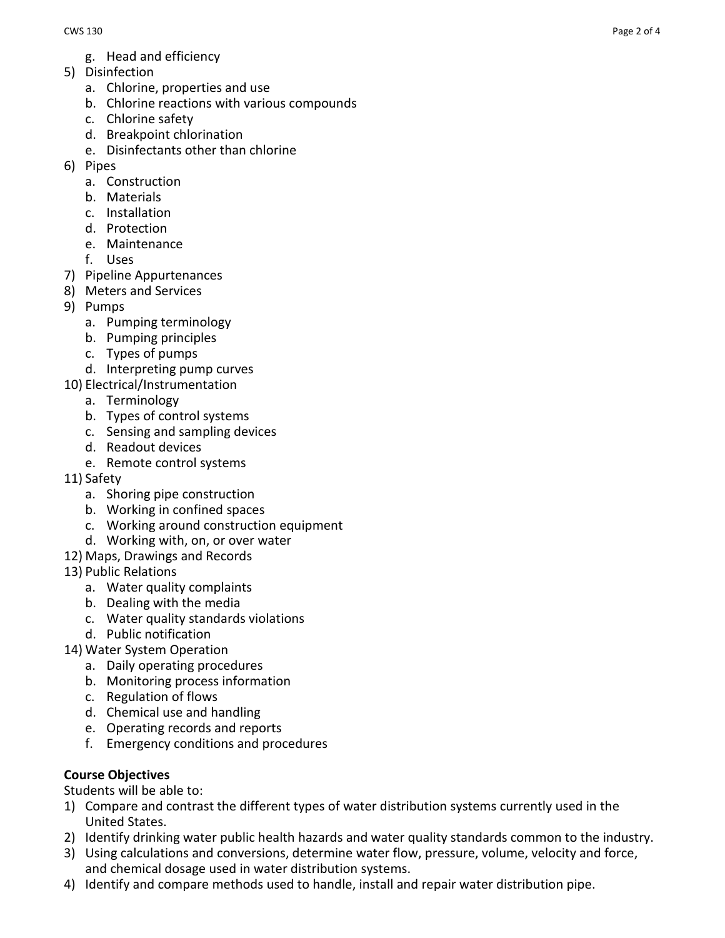- g. Head and efficiency
- 5) Disinfection
	- a. Chlorine, properties and use
	- b. Chlorine reactions with various compounds
	- c. Chlorine safety
	- d. Breakpoint chlorination
	- e. Disinfectants other than chlorine
- 6) Pipes
	- a. Construction
	- b. Materials
	- c. Installation
	- d. Protection
	- e. Maintenance
	- f. Uses
- 7) Pipeline Appurtenances
- 8) Meters and Services
- 9) Pumps
	- a. Pumping terminology
	- b. Pumping principles
	- c. Types of pumps
	- d. Interpreting pump curves
- 10) Electrical/Instrumentation
	- a. Terminology
	- b. Types of control systems
	- c. Sensing and sampling devices
	- d. Readout devices
	- e. Remote control systems
- 11) Safety
	- a. Shoring pipe construction
	- b. Working in confined spaces
	- c. Working around construction equipment
	- d. Working with, on, or over water
- 12) Maps, Drawings and Records
- 13) Public Relations
	- a. Water quality complaints
	- b. Dealing with the media
	- c. Water quality standards violations
	- d. Public notification
- 14) Water System Operation
	- a. Daily operating procedures
	- b. Monitoring process information
	- c. Regulation of flows
	- d. Chemical use and handling
	- e. Operating records and reports
	- f. Emergency conditions and procedures

# **Course Objectives**

Students will be able to:

- 1) Compare and contrast the different types of water distribution systems currently used in the United States.
- 2) Identify drinking water public health hazards and water quality standards common to the industry.
- 3) Using calculations and conversions, determine water flow, pressure, volume, velocity and force, and chemical dosage used in water distribution systems.
- 4) Identify and compare methods used to handle, install and repair water distribution pipe.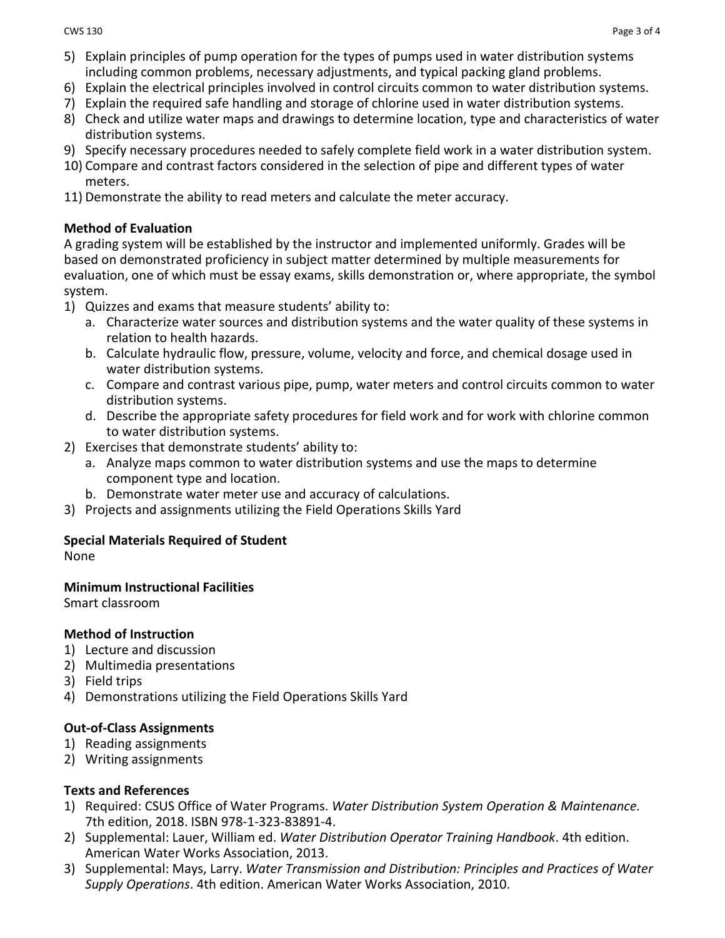- 5) Explain principles of pump operation for the types of pumps used in water distribution systems including common problems, necessary adjustments, and typical packing gland problems.
- 6) Explain the electrical principles involved in control circuits common to water distribution systems.
- 7) Explain the required safe handling and storage of chlorine used in water distribution systems.
- 8) Check and utilize water maps and drawings to determine location, type and characteristics of water distribution systems.
- 9) Specify necessary procedures needed to safely complete field work in a water distribution system.
- 10) Compare and contrast factors considered in the selection of pipe and different types of water meters.
- 11) Demonstrate the ability to read meters and calculate the meter accuracy.

# **Method of Evaluation**

A grading system will be established by the instructor and implemented uniformly. Grades will be based on demonstrated proficiency in subject matter determined by multiple measurements for evaluation, one of which must be essay exams, skills demonstration or, where appropriate, the symbol system.

- 1) Quizzes and exams that measure students' ability to:
	- a. Characterize water sources and distribution systems and the water quality of these systems in relation to health hazards.
	- b. Calculate hydraulic flow, pressure, volume, velocity and force, and chemical dosage used in water distribution systems.
	- c. Compare and contrast various pipe, pump, water meters and control circuits common to water distribution systems.
	- d. Describe the appropriate safety procedures for field work and for work with chlorine common to water distribution systems.
- 2) Exercises that demonstrate students' ability to:
	- a. Analyze maps common to water distribution systems and use the maps to determine component type and location.
	- b. Demonstrate water meter use and accuracy of calculations.
- 3) Projects and assignments utilizing the Field Operations Skills Yard

# **Special Materials Required of Student**

None

## **Minimum Instructional Facilities**

Smart classroom

## **Method of Instruction**

- 1) Lecture and discussion
- 2) Multimedia presentations
- 3) Field trips
- 4) Demonstrations utilizing the Field Operations Skills Yard

# **Out-of-Class Assignments**

- 1) Reading assignments
- 2) Writing assignments

## **Texts and References**

- 1) Required: CSUS Office of Water Programs. *Water Distribution System Operation & Maintenance.*  7th edition, 2018. ISBN 978-1-323-83891-4.
- 2) Supplemental: Lauer, William ed. *Water Distribution Operator Training Handbook*. 4th edition. American Water Works Association, 2013.
- 3) Supplemental: Mays, Larry. *Water Transmission and Distribution: Principles and Practices of Water Supply Operations*. 4th edition. American Water Works Association, 2010.